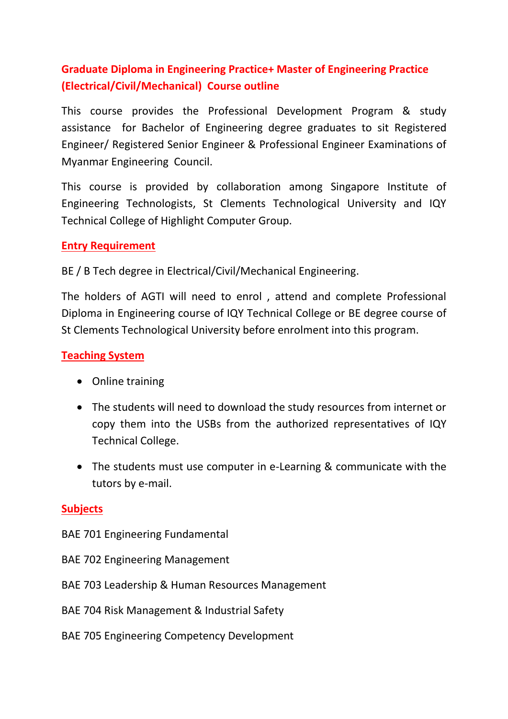## **Graduate Diploma in Engineering Practice+ Master of Engineering Practice (Electrical/Civil/Mechanical) Course outline**

This course provides the Professional Development Program & study assistance for Bachelor of Engineering degree graduates to sit Registered Engineer/ Registered Senior Engineer & Professional Engineer Examinations of Myanmar Engineering Council.

This course is provided by collaboration among Singapore Institute of Engineering Technologists, St Clements Technological University and IQY Technical College of Highlight Computer Group.

#### **Entry Requirement**

BE / B Tech degree in Electrical/Civil/Mechanical Engineering.

The holders of AGTI will need to enrol , attend and complete Professional Diploma in Engineering course of IQY Technical College or BE degree course of St Clements Technological University before enrolment into this program.

#### **Teaching System**

- Online training
- The students will need to download the study resources from internet or copy them into the USBs from the authorized representatives of IQY Technical College.
- The students must use computer in e-Learning & communicate with the tutors by e-mail.

#### **Subjects**

- BAE 701 Engineering Fundamental
- BAE 702 Engineering Management
- BAE 703 Leadership & Human Resources Management
- BAE 704 Risk Management & Industrial Safety
- BAE 705 Engineering Competency Development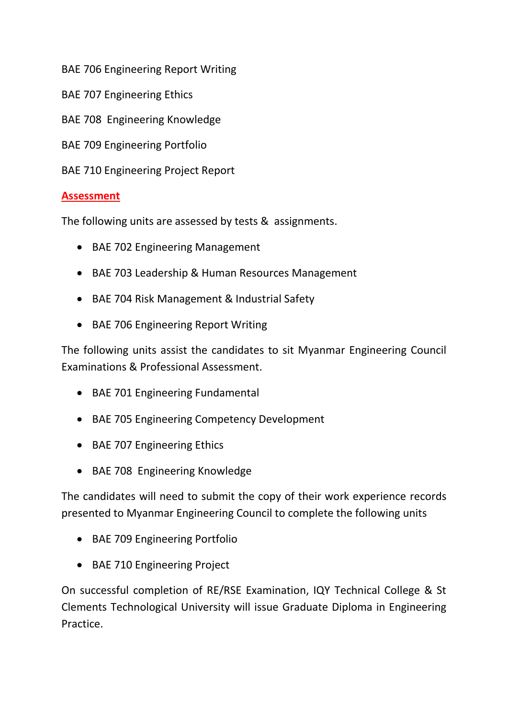BAE 706 Engineering Report Writing

- BAE 707 Engineering Ethics
- BAE 708 Engineering Knowledge
- BAE 709 Engineering Portfolio
- BAE 710 Engineering Project Report

#### **Assessment**

The following units are assessed by tests & assignments.

- BAE 702 Engineering Management
- BAE 703 Leadership & Human Resources Management
- BAE 704 Risk Management & Industrial Safety
- BAE 706 Engineering Report Writing

The following units assist the candidates to sit Myanmar Engineering Council Examinations & Professional Assessment.

- BAE 701 Engineering Fundamental
- BAE 705 Engineering Competency Development
- BAE 707 Engineering Ethics
- BAE 708 Engineering Knowledge

The candidates will need to submit the copy of their work experience records presented to Myanmar Engineering Council to complete the following units

- BAE 709 Engineering Portfolio
- BAE 710 Engineering Project

On successful completion of RE/RSE Examination, IQY Technical College & St Clements Technological University will issue Graduate Diploma in Engineering Practice.